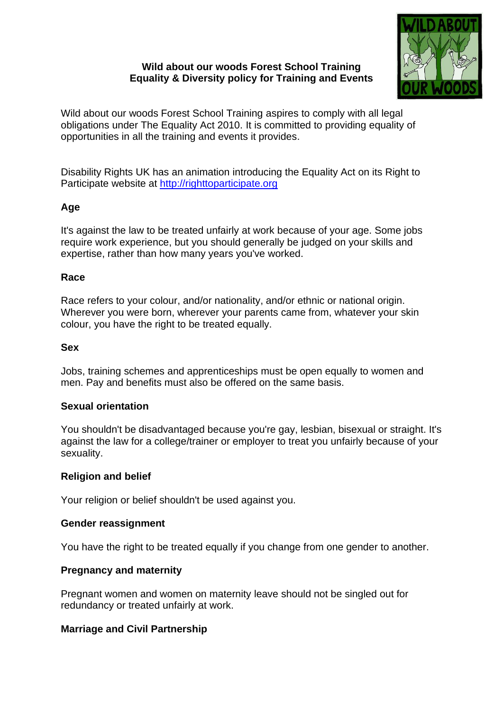## **Wild about our woods Forest School Training Equality & Diversity policy for Training and Events**



Wild about our woods Forest School Training aspires to comply with all legal obligations under The Equality Act 2010. It is committed to providing equality of opportunities in all the training and events it provides.

Disability Rights UK has an animation introducing the Equality Act on its Right to Participate website at [http://righttoparticipate.org](http://righttoparticipate.org/)

# **Age**

It's against the law to be treated unfairly at work because of your age. Some jobs require work experience, but you should generally be judged on your skills and expertise, rather than how many years you've worked.

### **Race**

Race refers to your colour, and/or nationality, and/or ethnic or national origin. Wherever you were born, wherever your parents came from, whatever your skin colour, you have the right to be treated equally.

### **Sex**

Jobs, training schemes and apprenticeships must be open equally to women and men. Pay and benefits must also be offered on the same basis.

## **Sexual orientation**

You shouldn't be disadvantaged because you're gay, lesbian, bisexual or straight. It's against the law for a college/trainer or employer to treat you unfairly because of your sexuality.

## **Religion and belief**

Your religion or belief shouldn't be used against you.

#### **Gender reassignment**

You have the right to be treated equally if you change from one gender to another.

#### **Pregnancy and maternity**

Pregnant women and women on maternity leave should not be singled out for redundancy or treated unfairly at work.

#### **Marriage and Civil Partnership**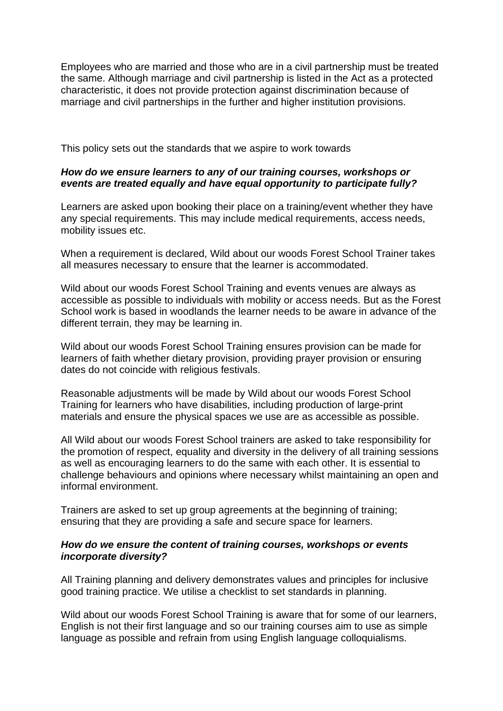Employees who are married and those who are in a civil partnership must be treated the same. Although marriage and civil partnership is listed in the Act as a protected characteristic, it does not provide protection against discrimination because of marriage and civil partnerships in the further and higher institution provisions.

This policy sets out the standards that we aspire to work towards

### *How do we ensure learners to any of our training courses, workshops or events are treated equally and have equal opportunity to participate fully?*

Learners are asked upon booking their place on a training/event whether they have any special requirements. This may include medical requirements, access needs, mobility issues etc.

When a requirement is declared, Wild about our woods Forest School Trainer takes all measures necessary to ensure that the learner is accommodated.

Wild about our woods Forest School Training and events venues are always as accessible as possible to individuals with mobility or access needs. But as the Forest School work is based in woodlands the learner needs to be aware in advance of the different terrain, they may be learning in.

Wild about our woods Forest School Training ensures provision can be made for learners of faith whether dietary provision, providing prayer provision or ensuring dates do not coincide with religious festivals.

Reasonable adjustments will be made by Wild about our woods Forest School Training for learners who have disabilities, including production of large-print materials and ensure the physical spaces we use are as accessible as possible.

All Wild about our woods Forest School trainers are asked to take responsibility for the promotion of respect, equality and diversity in the delivery of all training sessions as well as encouraging learners to do the same with each other. It is essential to challenge behaviours and opinions where necessary whilst maintaining an open and informal environment.

Trainers are asked to set up group agreements at the beginning of training; ensuring that they are providing a safe and secure space for learners.

#### *How do we ensure the content of training courses, workshops or events incorporate diversity?*

All Training planning and delivery demonstrates values and principles for inclusive good training practice. We utilise a checklist to set standards in planning.

Wild about our woods Forest School Training is aware that for some of our learners, English is not their first language and so our training courses aim to use as simple language as possible and refrain from using English language colloquialisms.